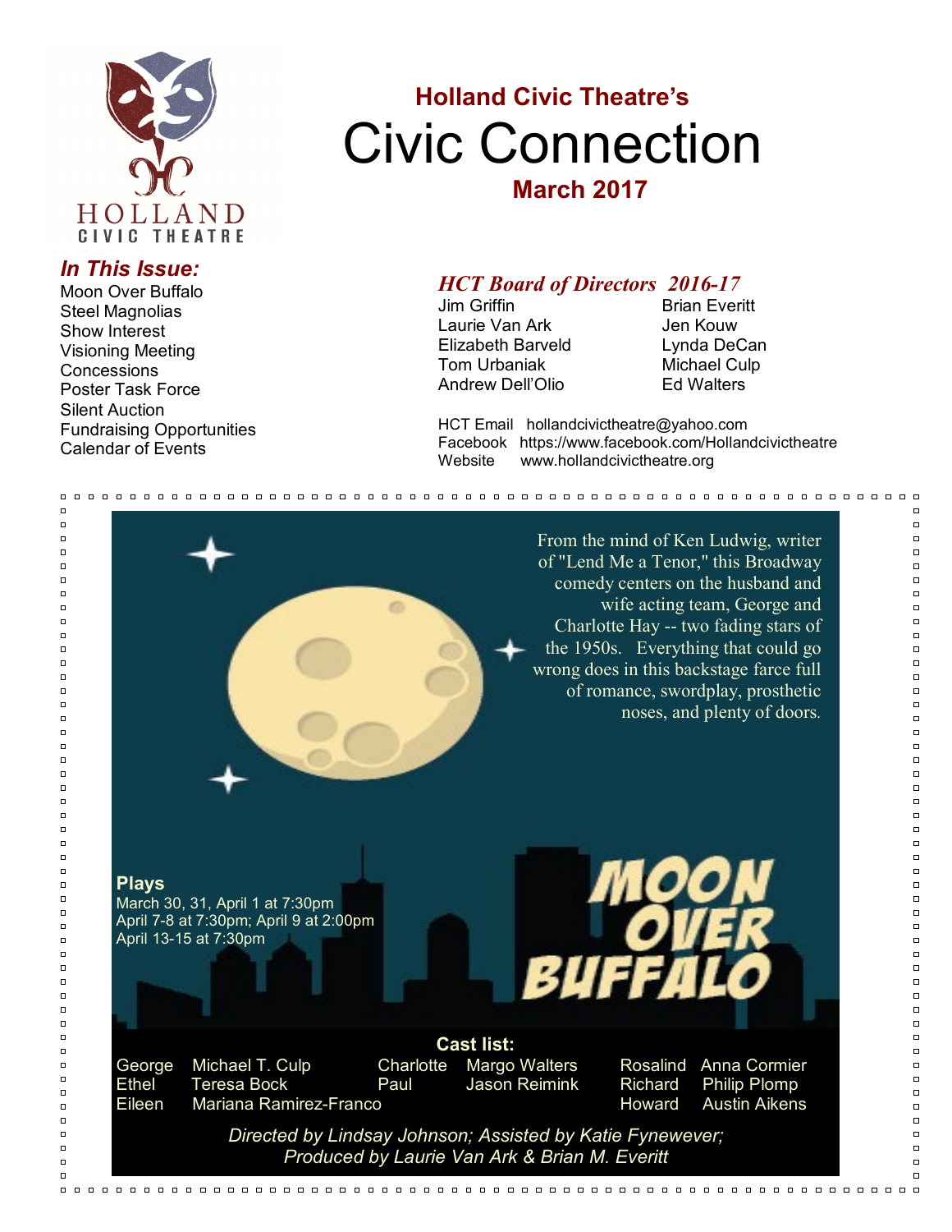

#### *In This Issue:*

Moon Over Buffalo Steel Magnolias Show Interest Visioning Meeting **Concessions** Poster Task Force Silent Auction Fundraising Opportunities Calendar of Events

# **Holland Civic Theatre's** Civic Connection **March 2017**

### *HCT Board of Directors 2016-17*

Jim Griffin **Brian Everitt** Laurie Van Ark **Jen Kouw** Elizabeth Barveld Lynda DeCan Tom Urbaniak Michael Culp Andrew Dell'Olio Ed Walters

HCT Email hollandcivictheatre@yahoo.com Facebook https://www.facebook.com/Hollandcivictheatre Website www.hollandcivictheatre.org

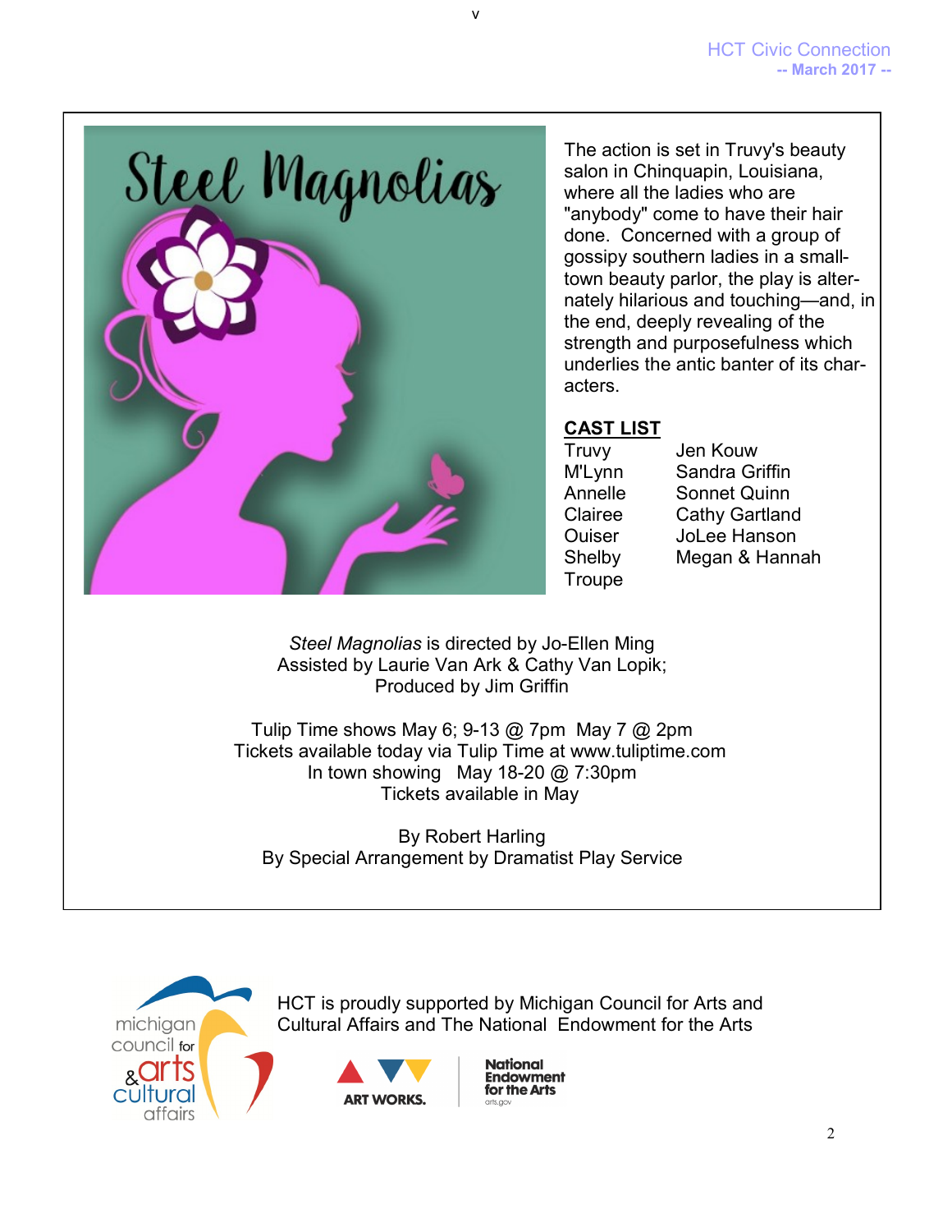

The action is set in Truvy's beauty salon in Chinquapin, Louisiana, where all the ladies who are "anybody" come to have their hair done. Concerned with a group of gossipy southern ladies in a smalltown beauty parlor, the play is alternately hilarious and touching—and, in the end, deeply revealing of the strength and purposefulness which underlies the antic banter of its characters.

#### **CAST LIST**

**Troupe** 

Truvy Jen Kouw M'Lynn Sandra Griffin Annelle Sonnet Quinn Clairee Cathy Gartland Ouiser JoLee Hanson Shelby Megan & Hannah

*Steel Magnolias* is directed by Jo-Ellen Ming Assisted by Laurie Van Ark & Cathy Van Lopik; Produced by Jim Griffin

v

Tulip Time shows May 6; 9-13  $@$  7pm May 7  $@$  2pm Tickets available today via Tulip Time at www.tuliptime.com In town showing May 18-20 @ 7:30pm Tickets available in May

By Robert Harling By Special Arrangement by Dramatist Play Service



HCT is proudly supported by Michigan Council for Arts and Cultural Affairs and The National Endowment for the Arts



**National Endowment** for the Arts arts aoy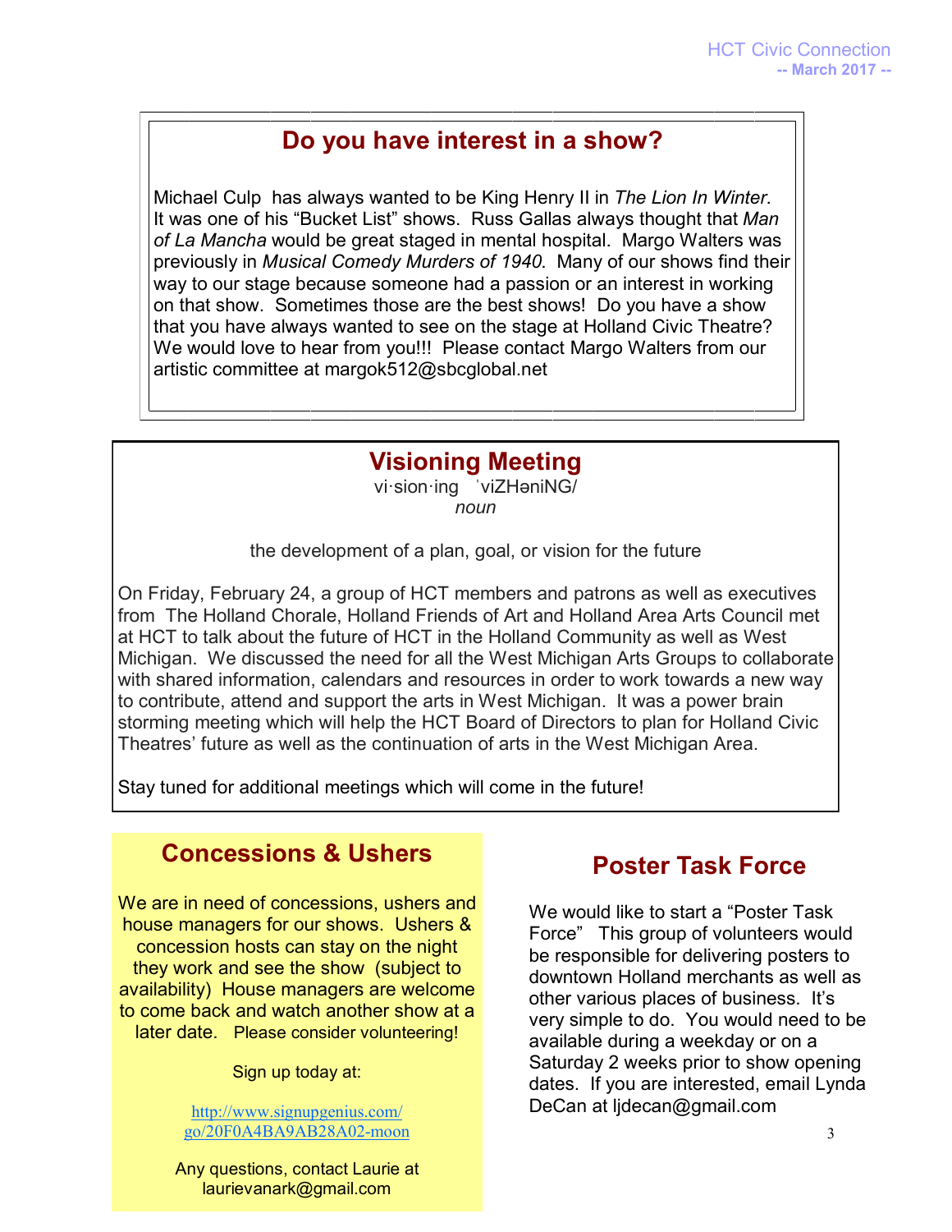# **Do you have interest in a show?**

Michael Culp has always wanted to be King Henry II in *The Lion In Winter*. It was one of his "Bucket List" shows. Russ Gallas always thought that *Man of La Mancha* would be great staged in mental hospital. Margo Walters was previously in *Musical Comedy Murders of 1940*. Many of our shows find their way to our stage because someone had a passion or an interest in working on that show. Sometimes those are the best shows! Do you have a show that you have always wanted to see on the stage at Holland Civic Theatre? We would love to hear from you!!! Please contact Margo Walters from our artistic committee at [margok512@sbcglobal.net](mailto:margok512@sbcglobal.net)

# **Visioning Meeting**

vi·sion·ing ˈviZHəniNG/ *noun*

the development of a plan, goal, or vision for the future

On Friday, February 24, a group of HCT members and patrons as well as executives from The Holland Chorale, Holland Friends of Art and Holland Area Arts Council met at HCT to talk about the future of HCT in the Holland Community as well as West Michigan. We discussed the need for all the West Michigan Arts Groups to collaborate with shared information, calendars and resources in order to work towards a new way to contribute, attend and support the arts in West Michigan. It was a power brain storming meeting which will help the HCT Board of Directors to plan for Holland Civic Theatres' future as well as the continuation of arts in the West Michigan Area.

Stay tuned for additional meetings which will come in the future!

# **Concessions & Ushers**

We are in need of concessions, ushers and house managers for our shows. Ushers & concession hosts can stay on the night they work and see the show (subject to availability) House managers are welcome to come back and watch another show at a later date. Please consider volunteering!

Sign up today at:

[http://www.signupgenius.com/](http://www.signupgenius.com/go/20F0A4BA9AB28A02-moon) [go/20F0A4BA9AB28A02-moon](http://www.signupgenius.com/go/20F0A4BA9AB28A02-moon)

Any questions, contact Laurie at laurievanark@gmail.com

# **Poster Task Force**

We would like to start a "Poster Task Force" This group of volunteers would be responsible for delivering posters to downtown Holland merchants as well as other various places of business. It's very simple to do. You would need to be available during a weekday or on a Saturday 2 weeks prior to show opening dates. If you are interested, email Lynda DeCan at ljdecan@gmail.com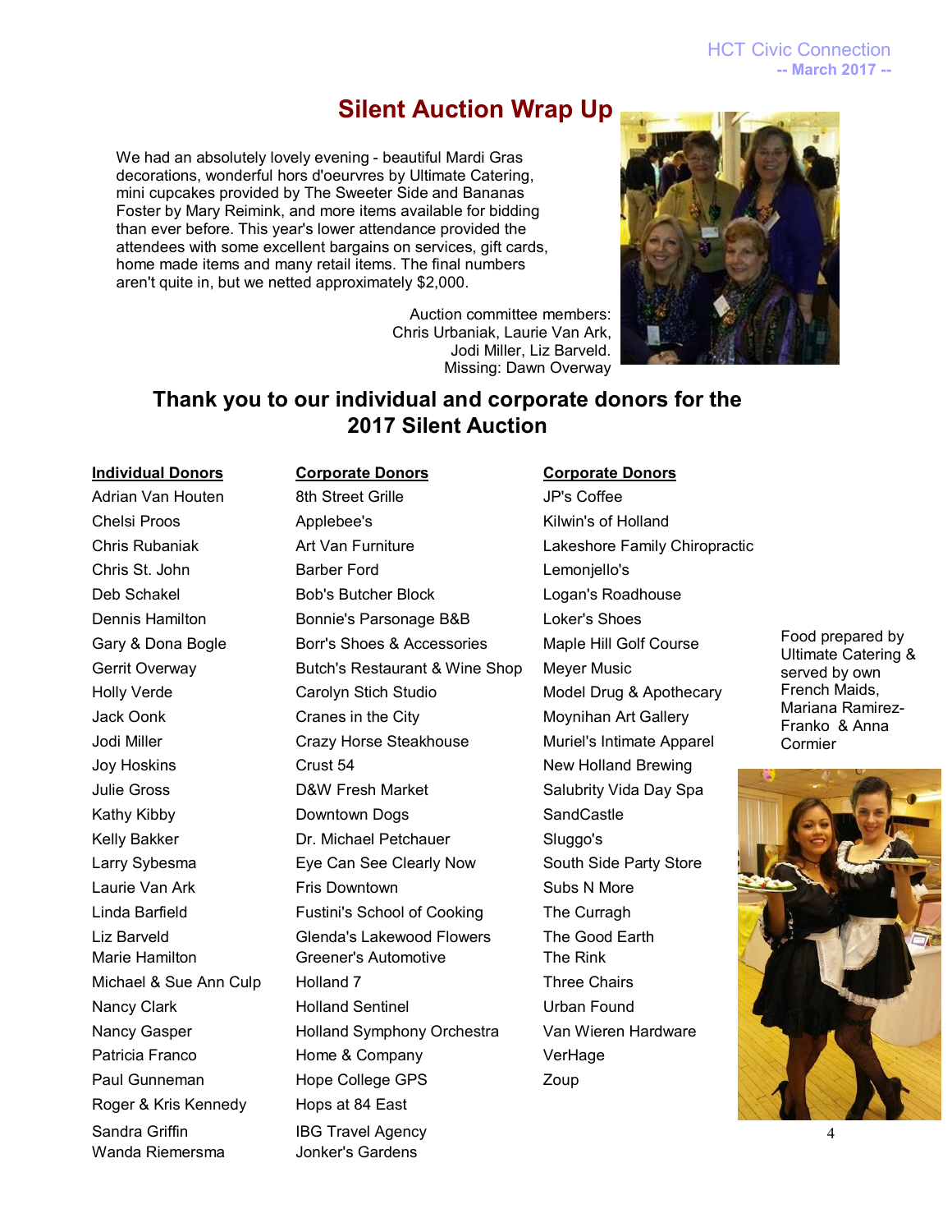HCT Civic Connection **-- March 2017 --**

### **Silent Auction Wrap Up**

We had an absolutely lovely evening - beautiful Mardi Gras decorations, wonderful hors d'oeurvres by Ultimate Catering, mini cupcakes provided by The Sweeter Side and Bananas Foster by Mary Reimink, and more items available for bidding than ever before. This year's lower attendance provided the attendees with some excellent bargains on services, gift cards, home made items and many retail items. The final numbers aren't quite in, but we netted approximately \$2,000.



Auction committee members: Chris Urbaniak, Laurie Van Ark, Jodi Miller, Liz Barveld. Missing: Dawn Overway

### **Thank you to our individual and corporate donors for the 2017 Silent Auction**

Roger & Kris Kennedy Hops at 84 East Sandra Griffin **IBG Travel Agency** Wanda Riemersma Jonker's Gardens

Adrian Van Houten **8th Street Grille** Adrian Van Houten by Bulle Base of the Street Crille Adrian Version Coffee Chelsi Proos **Applebee's** Applebee's Kilwin's of Holland Chris Rubaniak **Art Van Furniture Lakeshore Family Chiropractic** Chris St. John Barber Ford Lemonjello's Deb Schakel **Bob's Butcher Block** Logan's Roadhouse Dennis Hamilton Bonnie's Parsonage B&B Loker's Shoes Gary & Dona Bogle Borr's Shoes & Accessories Maple Hill Golf Course Gerrit Overway **Butch's Restaurant & Wine Shop** Meyer Music Holly Verde **Carolyn Stich Studio** Model Drug & Apothecary Jack Oonk **Cranes in the City** Moynihan Art Gallery Jodi Miller Crazy Horse Steakhouse Muriel's Intimate Apparel Joy Hoskins Crust 54 New Holland Brewing Julie Gross **D&W Fresh Market** Salubrity Vida Day Spa Kathy Kibby **Downtown Dogs** SandCastle Kelly Bakker **Dr. Michael Petchauer** Sluggo's Larry Sybesma **Eye Can See Clearly Now** South Side Party Store Laurie Van Ark Fris Downtown Subs N More Linda Barfield **Fustini's School of Cooking** The Curragh Liz Barveld Glenda's Lakewood Flowers The Good Earth Marie Hamilton Greener's Automotive The Rink Michael & Sue Ann Culp Holland 7 Three Chairs Nancy Clark **Nancy Clark Clark Holland Sentinel** Clark Urban Found Nancy Gasper Holland Symphony Orchestra Van Wieren Hardware Patricia Franco **Home & Company** VerHage Paul Gunneman **Hope College GPS** Zoup

#### **Individual Donors Corporate Donors Corporate Donors**

Food prepared by Ultimate Catering & served by own French Maids, Mariana Ramirez-Franko & Anna Cormier



4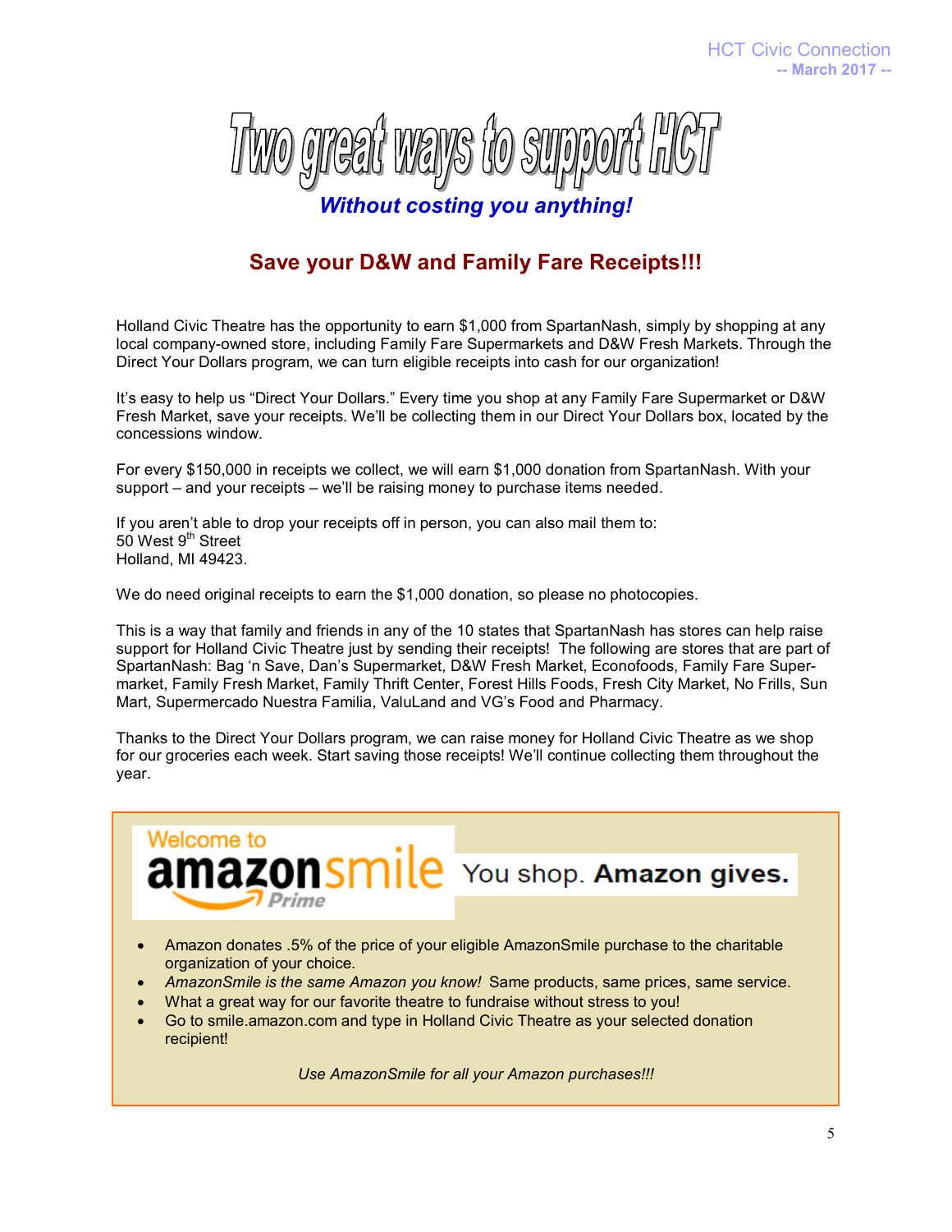

### **Save your D&W and Family Fare Receipts!!!**

Holland Civic Theatre has the opportunity to earn \$1,000 from SpartanNash, simply by shopping at any local company-owned store, including Family Fare Supermarkets and D&W Fresh Markets. Through the Direct Your Dollars program, we can turn eligible receipts into cash for our organization!

It's easy to help us "Direct Your Dollars." Every time you shop at any Family Fare Supermarket or D&W Fresh Market, save your receipts. We'll be collecting them in our Direct Your Dollars box, located by the concessions window.

For every \$150,000 in receipts we collect, we will earn \$1,000 donation from SpartanNash. With your support – and your receipts – we'll be raising money to purchase items needed.

If you aren't able to drop your receipts off in person, you can also mail them to: 50 West 9<sup>th</sup> Street Holland, MI 49423.

**Welcome to** 

We do need original receipts to earn the \$1,000 donation, so please no photocopies.

This is a way that family and friends in any of the 10 states that SpartanNash has stores can help raise support for Holland Civic Theatre just by sending their receipts! The following are stores that are part of SpartanNash: Bag 'n Save, Dan's Supermarket, D&W Fresh Market, Econofoods, Family Fare Supermarket, Family Fresh Market, Family Thrift Center, Forest Hills Foods, Fresh City Market, No Frills, Sun Mart, Supermercado Nuestra Familia, ValuLand and VG's Food and Pharmacy.

Thanks to the Direct Your Dollars program, we can raise money for Holland Civic Theatre as we shop for our groceries each week. Start saving those receipts! We'll continue collecting them throughout the year.

**amazonsmile** You shop. Amazon gives.

 Amazon donates .5% of the price of your eligible AmazonSmile purchase to the charitable organization of your choice.

- *AmazonSmile is the same Amazon you know!* Same products, same prices, same service.
- What a great way for our favorite theatre to fundraise without stress to you!
- Go to smile.amazon.com and type in Holland Civic Theatre as your selected donation recipient!

*Use AmazonSmile for all your Amazon purchases!!!*